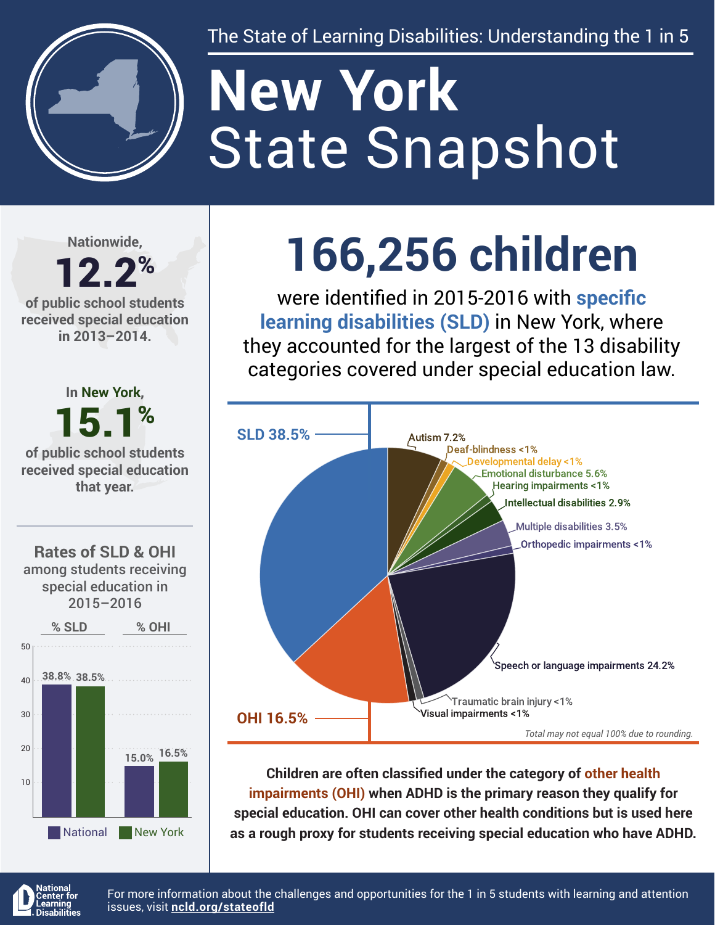

The State of Learning Disabilities: Understanding the 1 in 5

# State Snapshot **New York**

**Nationwide,**

#### 12.2% **of public school students received special education in 2013–2014.**



## **166,256 children**

were identified in 2015-2016 with **specific learning disabilities (SLD)** in New York, where they accounted for the largest of the 13 disability categories covered under special education law.



**Children are often classified under the category of other health impairments (OHI) when ADHD is the primary reason they qualify for special education. OHI can cover other health conditions but is used here as a rough proxy for students receiving special education who have ADHD.**



For more information about the challenges and opportunities for the 1 in 5 students with learning and attention issues, visit **[ncld.org/stateofld](http://ncld.org/stateofld)**